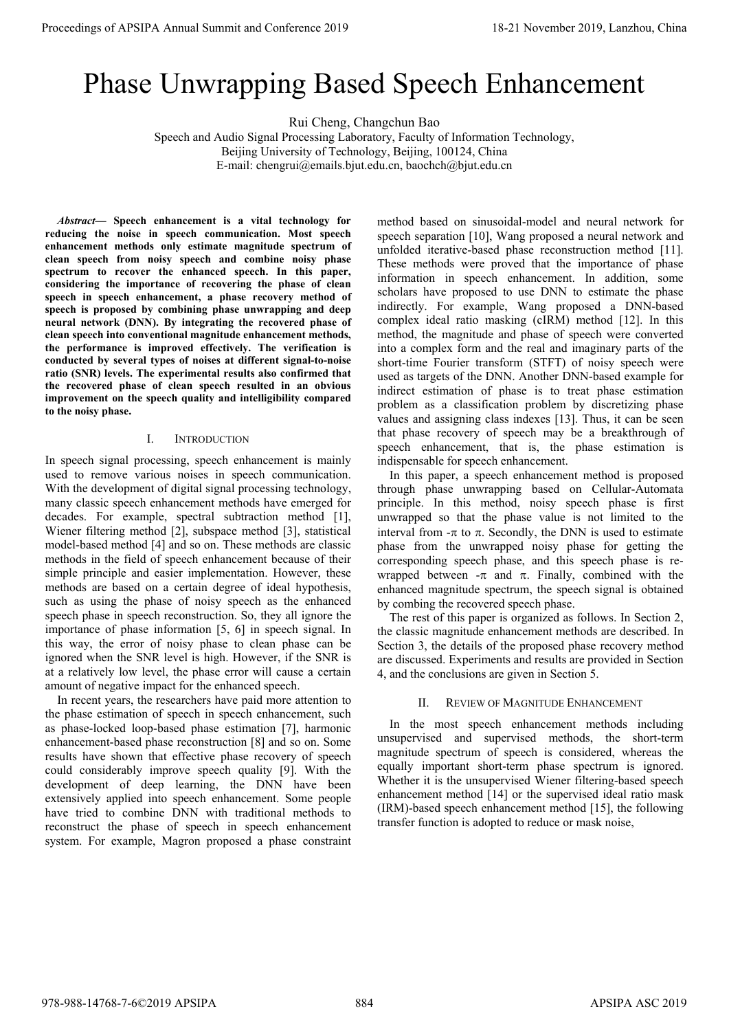# Phase Unwrapping Based Speech Enhancement

Rui Cheng, Changchun Bao

Speech and Audio Signal Processing Laboratory, Faculty of Information Technology, Beijing University of Technology, Beijing, 100124, China E-mail: chengrui@emails.bjut.edu.cn, baochch@bjut.edu.cn

*Abstract***— Speech enhancement is a vital technology for reducing the noise in speech communication. Most speech enhancement methods only estimate magnitude spectrum of clean speech from noisy speech and combine noisy phase spectrum to recover the enhanced speech. In this paper, considering the importance of recovering the phase of clean speech in speech enhancement, a phase recovery method of speech is proposed by combining phase unwrapping and deep neural network (DNN). By integrating the recovered phase of clean speech into conventional magnitude enhancement methods, the performance is improved effectively. The verification is conducted by several types of noises at different signal-to-noise ratio (SNR) levels. The experimental results also confirmed that the recovered phase of clean speech resulted in an obvious improvement on the speech quality and intelligibility compared to the noisy phase.** 

# I. INTRODUCTION

In speech signal processing, speech enhancement is mainly used to remove various noises in speech communication. With the development of digital signal processing technology, many classic speech enhancement methods have emerged for decades. For example, spectral subtraction method [1], Wiener filtering method [2], subspace method [3], statistical model-based method [4] and so on. These methods are classic methods in the field of speech enhancement because of their simple principle and easier implementation. However, these methods are based on a certain degree of ideal hypothesis, such as using the phase of noisy speech as the enhanced speech phase in speech reconstruction. So, they all ignore the importance of phase information [5, 6] in speech signal. In this way, the error of noisy phase to clean phase can be ignored when the SNR level is high. However, if the SNR is at a relatively low level, the phase error will cause a certain amount of negative impact for the enhanced speech.

In recent years, the researchers have paid more attention to the phase estimation of speech in speech enhancement, such as phase-locked loop-based phase estimation [7], harmonic enhancement-based phase reconstruction [8] and so on. Some results have shown that effective phase recovery of speech could considerably improve speech quality [9]. With the development of deep learning, the DNN have been extensively applied into speech enhancement. Some people have tried to combine DNN with traditional methods to reconstruct the phase of speech in speech enhancement system. For example, Magron proposed a phase constraint

method based on sinusoidal-model and neural network for speech separation [10], Wang proposed a neural network and unfolded iterative-based phase reconstruction method [11]. These methods were proved that the importance of phase information in speech enhancement. In addition, some scholars have proposed to use DNN to estimate the phase indirectly. For example, Wang proposed a DNN-based complex ideal ratio masking (cIRM) method [12]. In this method, the magnitude and phase of speech were converted into a complex form and the real and imaginary parts of the short-time Fourier transform (STFT) of noisy speech were used as targets of the DNN. Another DNN-based example for indirect estimation of phase is to treat phase estimation problem as a classification problem by discretizing phase values and assigning class indexes [13]. Thus, it can be seen that phase recovery of speech may be a breakthrough of speech enhancement, that is, the phase estimation is indispensable for speech enhancement. **Proceedings of APSIPA Annual Summit and Conference 2019<br>
Proceedings of APSIPA Annual Summit and Annual Summit and Annual Summit and APSIPA Annual Summit and Annual Summit and APSIPA Annual Summit and APSIPA Annual Summi** 

In this paper, a speech enhancement method is proposed through phase unwrapping based on Cellular-Automata principle. In this method, noisy speech phase is first unwrapped so that the phase value is not limited to the interval from  $-\pi$  to  $\pi$ . Secondly, the DNN is used to estimate phase from the unwrapped noisy phase for getting the corresponding speech phase, and this speech phase is rewrapped between  $-\pi$  and  $\pi$ . Finally, combined with the enhanced magnitude spectrum, the speech signal is obtained by combing the recovered speech phase.

The rest of this paper is organized as follows. In Section 2, the classic magnitude enhancement methods are described. In Section 3, the details of the proposed phase recovery method are discussed. Experiments and results are provided in Section 4, and the conclusions are given in Section 5.

# II. REVIEW OF MAGNITUDE ENHANCEMENT

In the most speech enhancement methods including unsupervised and supervised methods, the short-term magnitude spectrum of speech is considered, whereas the equally important short-term phase spectrum is ignored. Whether it is the unsupervised Wiener filtering-based speech enhancement method [14] or the supervised ideal ratio mask (IRM)-based speech enhancement method [15], the following transfer function is adopted to reduce or mask noise,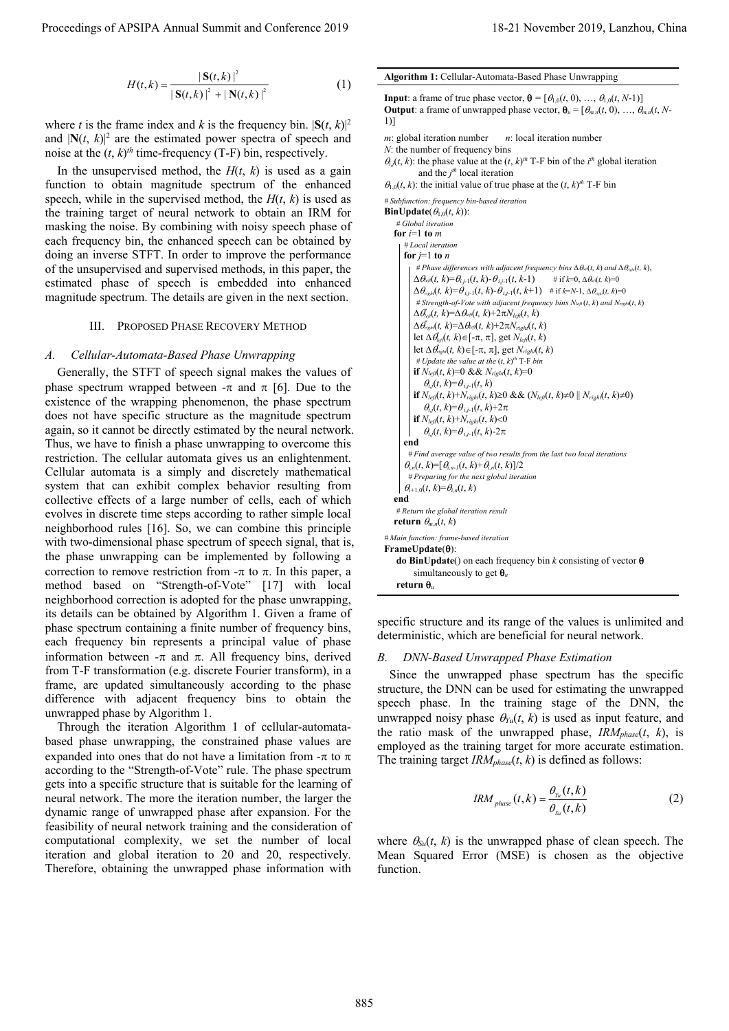$$
H(t,k) = \frac{|\mathbf{S}(t,k)|^2}{|\mathbf{S}(t,k)|^2 + |\mathbf{N}(t,k)|^2}
$$
 (1)

where *t* is the frame index and *k* is the frequency bin.  $|\mathbf{S}(t, k)|^2$ and  $|\mathbf{N}(t, k)|^2$  are the estimated power spectra of speech and noise at the  $(t, k)$ <sup>th</sup> time-frequency (T-F) bin, respectively.

In the unsupervised method, the  $H(t, k)$  is used as a gain function to obtain magnitude spectrum of the enhanced speech, while in the supervised method, the  $H(t, k)$  is used as the training target of neural network to obtain an IRM for masking the noise. By combining with noisy speech phase of each frequency bin, the enhanced speech can be obtained by doing an inverse STFT. In order to improve the performance of the unsupervised and supervised methods, in this paper, the estimated phase of speech is embedded into enhanced magnitude spectrum. The details are given in the next section.

# III. PROPOSED PHASE RECOVERY METHOD

# *A. Cellular-Automata-Based Phase Unwrapping*

Generally, the STFT of speech signal makes the values of phase spectrum wrapped between  $-\pi$  and  $\pi$  [6]. Due to the existence of the wrapping phenomenon, the phase spectrum does not have specific structure as the magnitude spectrum again, so it cannot be directly estimated by the neural network. Thus, we have to finish a phase unwrapping to overcome this restriction. The cellular automata gives us an enlightenment. Cellular automata is a simply and discretely mathematical system that can exhibit complex behavior resulting from collective effects of a large number of cells, each of which evolves in discrete time steps according to rather simple local neighborhood rules [16]. So, we can combine this principle with two-dimensional phase spectrum of speech signal, that is, the phase unwrapping can be implemented by following a correction to remove restriction from  $-\pi$  to  $\pi$ . In this paper, a method based on "Strength-of-Vote" [17] with local neighborhood correction is adopted for the phase unwrapping, its details can be obtained by Algorithm 1. Given a frame of phase spectrum containing a finite number of frequency bins, each frequency bin represents a principal value of phase information between  $-\pi$  and  $\pi$ . All frequency bins, derived from T-F transformation (e.g. discrete Fourier transform), in a frame, are updated simultaneously according to the phase difference with adjacent frequency bins to obtain the unwrapped phase by Algorithm 1.

Through the iteration Algorithm 1 of cellular-automatabased phase unwrapping, the constrained phase values are expanded into ones that do not have a limitation from  $-\pi$  to  $\pi$ according to the "Strength-of-Vote" rule. The phase spectrum gets into a specific structure that is suitable for the learning of neural network. The more the iteration number, the larger the dynamic range of unwrapped phase after expansion. For the feasibility of neural network training and the consideration of computational complexity, we set the number of local iteration and global iteration to 20 and 20, respectively. Therefore, obtaining the unwrapped phase information with

**Input**: a frame of true phase vector,  $\mathbf{\theta} = [\theta_{1,0}(t, 0), ..., \theta_{1,0}(t, N-1)]$ **Output**: a frame of unwrapped phase vector,  $\mathbf{\theta}_u = [\theta_{m,n}(t, 0), ..., \theta_{m,n}(t, N-1)]$ 1)] *m*: global iteration number *n*: local iteration number *N*: the number of frequency bins  $\theta_{i,j}(t, k)$ : the phase value at the  $(t, k)$ <sup>th</sup> T-F bin of the *i*<sup>th</sup> global iteration and the *j th* local iteration  $\theta_{1,0}(t, k)$ : the initial value of true phase at the  $(t, k)$ <sup>th</sup> T-F bin *# Subfunction: frequency bin-based iteration*  **BinUpdate**( $\theta_{1,0}(t, k)$ ): *# Global iteration* **for**  $i=1$  **to**  $m$ *# Local iteration*  **for**  $j=1$  **to**  $n$ # Phase differences with adjacent frequency bins  $\Delta \theta_{\text{ref}}(t, k)$  and  $\Delta \theta_{\text{right}}(t, k)$ ,  $\Delta \theta_{\text{eff}}(t, k) = \theta_{i,j-1}(t, k) - \theta_{i,j-1}(t, k-1)$  # if  $k=0, \Delta \theta_{\text{eff}}(t, k)=0$  $\Delta \theta_{right}(t, k) = \theta_{i,j-1}(t, k) - \theta_{i,j-1}(t, k+1)$  # if  $k=N-1, \Delta \theta_{right}(t, k) = 0$ *# Strength-of-Vote with adjacent frequency bins Nleft* (*t*, *k*) *and Nright*(*t*, *k*)  $\Delta \theta_{\text{left}}^{*}(t, k) = \Delta \theta_{\text{left}}(t, k) + 2\pi N_{\text{left}}(t, k)$  $\Delta \theta_{\text{right}}^{*}(t, k) = \Delta \theta_{\text{left}}(t, k) + 2\pi N_{\text{right}}(t, k)$ let  $\Delta \theta_{\text{left}}^{\dagger}(t, k) \in [-\pi, \pi]$ , get  $N_{\text{left}}(t, k)$ let  $\Delta \theta_{\text{right}}^{\dagger}(t, k) \in [-\pi, \pi]$ , get  $N_{\text{right}}(t, k)$  $# Update the value at the  $(t, k)$ <sup>th</sup> T-F bin$ **if**  $N_{left}(t, k) = 0$  &&  $N_{right}(t, k) = 0$  $\theta_{i,j}(t, k) = \theta_{i,j-1}(t, k)$ **if**  $N_{\text{left}}(t, k) + N_{\text{right}}(t, k) \ge 0$  &&  $(N_{\text{left}}(t, k) \ne 0 \mid N_{\text{right}}(t, k) \ne 0)$  $\theta_{i,j}(t, k) = \theta_{i,j-1}(t, k) + 2\pi$ **if**  $N_{left}(t, k) + N_{right}(t, k) < 0$  $\theta_{i,j}(t, k) = \theta_{i,j-1}(t, k) - 2\pi$ **end**  *# Find average value of two results from the last two local iterations*   $\theta_{i,n}(t, k) = [\theta_{i,n-1}(t, k) + \theta_{i,n}(t, k)]/2$ *# Preparing for the next global iteration*   $\theta_{i+1,0}(t, k) = \theta_{i,n}(t, k)$ **end**  *# Return the global iteration result*  **return**  $\theta_{m,n}(t, k)$ *# Main function: frame-based iteration*  **FrameUpdate(θ): do BinUpdate**() on each frequency bin *k* consisting of vector  $\theta$ simultaneously to get  $\theta_u$ **return θ**<sub>*u*</sub> Proceeding of APSIPA Annual Summit at  $(C_1C_2)$  in the conference 2019 18-21 November 2019, Lanzhou, China 885 (Conference 2019) 18-21 November 2019 18-21 November 2019 18-21 November 2019 18-21 November 2019 18-21 Novemb

**Algorithm 1:** Cellular-Automata-Based Phase Unwrapping

specific structure and its range of the values is unlimited and deterministic, which are beneficial for neural network.

## *B. DNN-Based Unwrapped Phase Estimation*

Since the unwrapped phase spectrum has the specific structure, the DNN can be used for estimating the unwrapped speech phase. In the training stage of the DNN, the unwrapped noisy phase  $\theta_{Yu}(t, k)$  is used as input feature, and the ratio mask of the unwrapped phase,  $IRM_{phase}(t, k)$ , is employed as the training target for more accurate estimation. The training target *IRMphase*(*t*, *k*) is defined as follows:

$$
IRM_{phase}(t,k) = \frac{\theta_{y_u}(t,k)}{\theta_{s_u}(t,k)} \tag{2}
$$

where  $\theta_{\text{Sul}}(t, k)$  is the unwrapped phase of clean speech. The Mean Squared Error (MSE) is chosen as the objective function.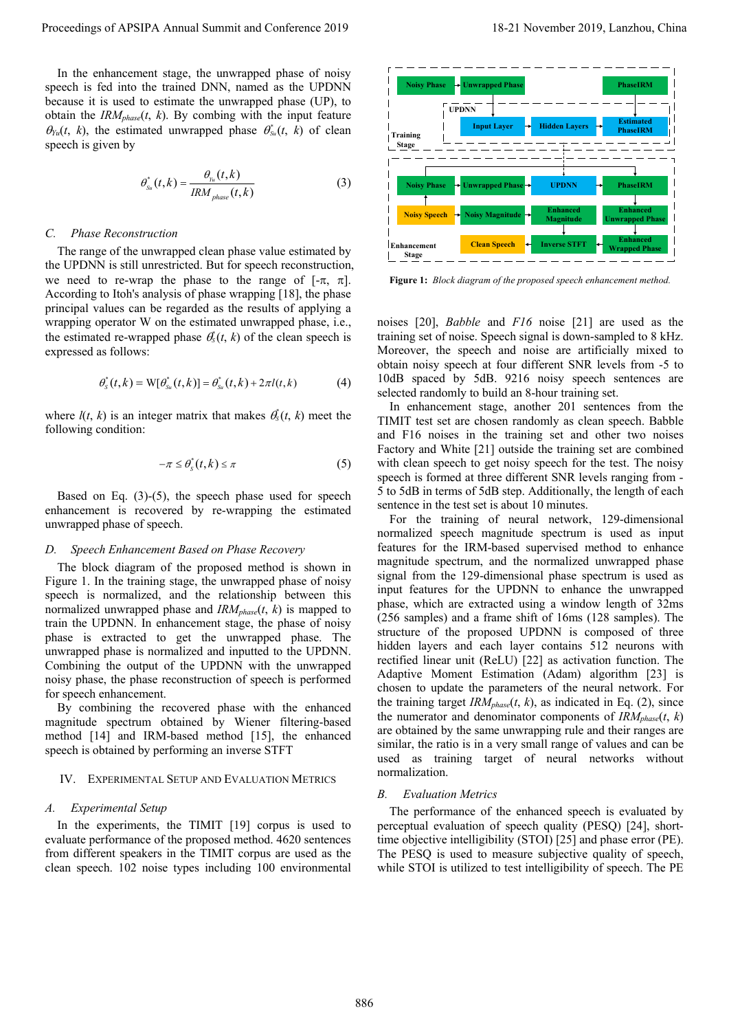In the enhancement stage, the unwrapped phase of noisy speech is fed into the trained DNN, named as the UPDNN because it is used to estimate the unwrapped phase (UP), to obtain the *IRMphase*(*t*, *k*). By combing with the input feature  $\theta_{Yu}(t, k)$ , the estimated unwrapped phase  $\theta_{Su}^*(t, k)$  of clean speech is given by

$$
\theta_{s_u}^*(t,k) = \frac{\theta_{\gamma_u}(t,k)}{IRM_{phase}(t,k)}
$$
(3)

#### *C. Phase Reconstruction*

The range of the unwrapped clean phase value estimated by the UPDNN is still unrestricted. But for speech reconstruction, we need to re-wrap the phase to the range of  $[-\pi, \pi]$ . According to Itoh's analysis of phase wrapping [18], the phase principal values can be regarded as the results of applying a wrapping operator W on the estimated unwrapped phase, i.e., the estimated re-wrapped phase  $\theta_s^*(t, k)$  of the clean speech is expressed as follows:

$$
\theta_{s}^{*}(t,k) = W[\theta_{s_{u}}^{*}(t,k)] = \theta_{s_{u}}^{*}(t,k) + 2\pi l(t,k)
$$
 (4)

where  $l(t, k)$  is an integer matrix that makes  $\theta_s^*(t, k)$  meet the following condition:

$$
-\pi \leq \theta_{s}^{*}(t,k) \leq \pi
$$
 (5)

Based on Eq. (3)-(5), the speech phase used for speech enhancement is recovered by re-wrapping the estimated unwrapped phase of speech.

# *D. Speech Enhancement Based on Phase Recovery*

The block diagram of the proposed method is shown in Figure 1. In the training stage, the unwrapped phase of noisy speech is normalized, and the relationship between this normalized unwrapped phase and  $IRM_{phase}(t, k)$  is mapped to train the UPDNN. In enhancement stage, the phase of noisy phase is extracted to get the unwrapped phase. The unwrapped phase is normalized and inputted to the UPDNN. Combining the output of the UPDNN with the unwrapped noisy phase, the phase reconstruction of speech is performed for speech enhancement.

By combining the recovered phase with the enhanced magnitude spectrum obtained by Wiener filtering-based method [14] and IRM-based method [15], the enhanced speech is obtained by performing an inverse STFT

#### IV. EXPERIMENTAL SETUP AND EVALUATION METRICS

# *A. Experimental Setup*

In the experiments, the TIMIT [19] corpus is used to evaluate performance of the proposed method. 4620 sentences from different speakers in the TIMIT corpus are used as the clean speech. 102 noise types including 100 environmental



**Figure 1:** *Block diagram of the proposed speech enhancement method.* 

noises [20], *Babble* and *F16* noise [21] are used as the training set of noise. Speech signal is down-sampled to 8 kHz. Moreover, the speech and noise are artificially mixed to obtain noisy speech at four different SNR levels from -5 to 10dB spaced by 5dB. 9216 noisy speech sentences are selected randomly to build an 8-hour training set.

In enhancement stage, another 201 sentences from the TIMIT test set are chosen randomly as clean speech. Babble and F16 noises in the training set and other two noises Factory and White [21] outside the training set are combined with clean speech to get noisy speech for the test. The noisy speech is formed at three different SNR levels ranging from - 5 to 5dB in terms of 5dB step. Additionally, the length of each sentence in the test set is about 10 minutes.

For the training of neural network, 129-dimensional normalized speech magnitude spectrum is used as input features for the IRM-based supervised method to enhance magnitude spectrum, and the normalized unwrapped phase signal from the 129-dimensional phase spectrum is used as input features for the UPDNN to enhance the unwrapped phase, which are extracted using a window length of 32ms (256 samples) and a frame shift of 16ms (128 samples). The structure of the proposed UPDNN is composed of three hidden layers and each layer contains 512 neurons with rectified linear unit (ReLU) [22] as activation function. The Adaptive Moment Estimation (Adam) algorithm [23] is chosen to update the parameters of the neural network. For the training target  $IRM_{phase}(t, k)$ , as indicated in Eq. (2), since the numerator and denominator components of  $IRM_{phase}(t, k)$ are obtained by the same unwrapping rule and their ranges are similar, the ratio is in a very small range of values and can be used as training target of neural networks without normalization. Proceeding of APSIPA Annual Summit and Conference 2019<br>
For the conference 2019, the conference 2019 is a strength of the conference 2019 is a strength of the conference 2019, and the conference 2019, and the conference 2

## *B. Evaluation Metrics*

The performance of the enhanced speech is evaluated by perceptual evaluation of speech quality (PESQ) [24], shorttime objective intelligibility (STOI) [25] and phase error (PE). The PESQ is used to measure subjective quality of speech, while STOI is utilized to test intelligibility of speech. The PE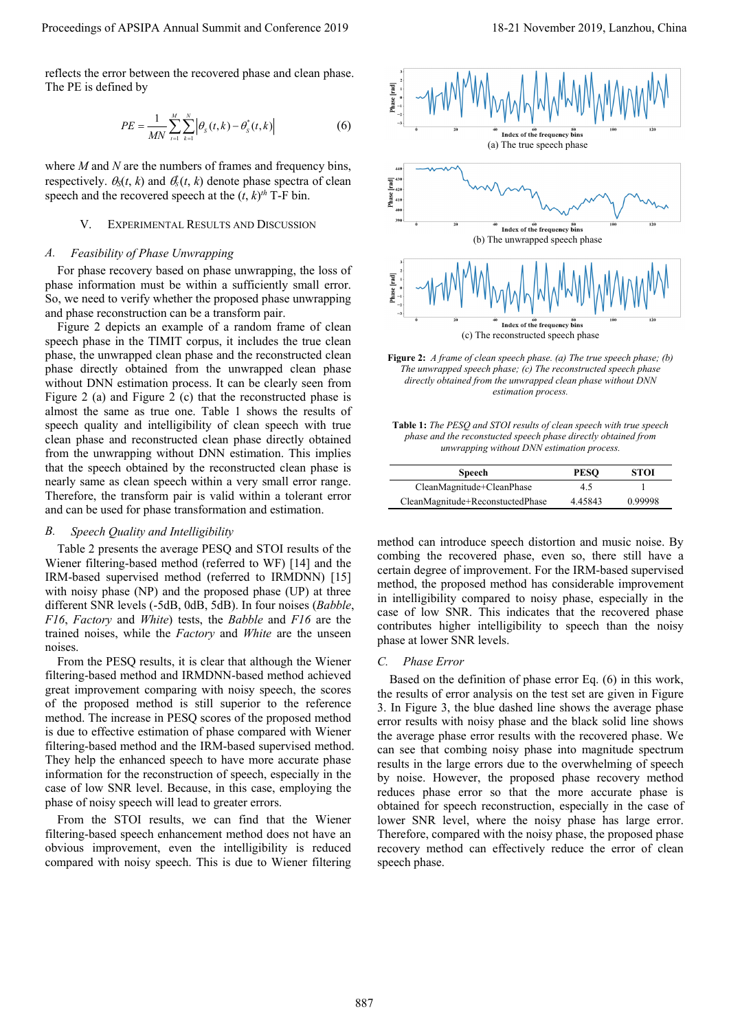reflects the error between the recovered phase and clean phase. The PE is defined by

$$
PE = \frac{1}{MN} \sum_{t=1}^{M} \sum_{k=1}^{N} \left| \theta_{s}(t, k) - \theta_{s}^{*}(t, k) \right| \tag{6}
$$

where *M* and *N* are the numbers of frames and frequency bins, respectively.  $\theta_s(t, k)$  and  $\theta_s^*(t, k)$  denote phase spectra of clean speech and the recovered speech at the  $(t, k)$ <sup>th</sup> T-F bin.

# V. EXPERIMENTAL RESULTS AND DISCUSSION

#### *A. Feasibility of Phase Unwrapping*

For phase recovery based on phase unwrapping, the loss of phase information must be within a sufficiently small error. So, we need to verify whether the proposed phase unwrapping and phase reconstruction can be a transform pair.

Figure 2 depicts an example of a random frame of clean speech phase in the TIMIT corpus, it includes the true clean phase, the unwrapped clean phase and the reconstructed clean phase directly obtained from the unwrapped clean phase without DNN estimation process. It can be clearly seen from Figure 2 (a) and Figure 2 (c) that the reconstructed phase is almost the same as true one. Table 1 shows the results of speech quality and intelligibility of clean speech with true clean phase and reconstructed clean phase directly obtained from the unwrapping without DNN estimation. This implies that the speech obtained by the reconstructed clean phase is nearly same as clean speech within a very small error range. Therefore, the transform pair is valid within a tolerant error and can be used for phase transformation and estimation.

# *B. Speech Quality and Intelligibility*

Table 2 presents the average PESQ and STOI results of the Wiener filtering-based method (referred to WF) [14] and the IRM-based supervised method (referred to IRMDNN) [15] with noisy phase (NP) and the proposed phase (UP) at three different SNR levels (-5dB, 0dB, 5dB). In four noises (*Babble*, *F16*, *Factory* and *White*) tests, the *Babble* and *F16* are the trained noises, while the *Factory* and *White* are the unseen noises.

From the PESQ results, it is clear that although the Wiener filtering-based method and IRMDNN-based method achieved great improvement comparing with noisy speech, the scores of the proposed method is still superior to the reference method. The increase in PESQ scores of the proposed method is due to effective estimation of phase compared with Wiener filtering-based method and the IRM-based supervised method. They help the enhanced speech to have more accurate phase information for the reconstruction of speech, especially in the case of low SNR level. Because, in this case, employing the phase of noisy speech will lead to greater errors.

From the STOI results, we can find that the Wiener filtering-based speech enhancement method does not have an obvious improvement, even the intelligibility is reduced compared with noisy speech. This is due to Wiener filtering



**Figure 2:** *A frame of clean speech phase. (a) The true speech phase; (b) The unwrapped speech phase; (c) The reconstructed speech phase directly obtained from the unwrapped clean phase without DNN estimation process.* 

**Table 1:** *The PESQ and STOI results of clean speech with true speech phase and the reconstucted speech phase directly obtained from unwrapping without DNN estimation process.* 

| <b>Speech</b>                    | <b>PESO</b> | STOI    |
|----------------------------------|-------------|---------|
| CleanMagnitude+CleanPhase        | 4.5         |         |
| CleanMagnitude+ReconstuctedPhase | 4.45843     | 0.99998 |

method can introduce speech distortion and music noise. By combing the recovered phase, even so, there still have a certain degree of improvement. For the IRM-based supervised method, the proposed method has considerable improvement in intelligibility compared to noisy phase, especially in the case of low SNR. This indicates that the recovered phase contributes higher intelligibility to speech than the noisy phase at lower SNR levels.

## *C. Phase Error*

Based on the definition of phase error Eq. (6) in this work, the results of error analysis on the test set are given in Figure 3. In Figure 3, the blue dashed line shows the average phase error results with noisy phase and the black solid line shows the average phase error results with the recovered phase. We can see that combing noisy phase into magnitude spectrum results in the large errors due to the overwhelming of speech by noise. However, the proposed phase recovery method reduces phase error so that the more accurate phase is obtained for speech reconstruction, especially in the case of lower SNR level, where the noisy phase has large error. Therefore, compared with the noisy phase, the proposed phase recovery method can effectively reduce the error of clean speech phase.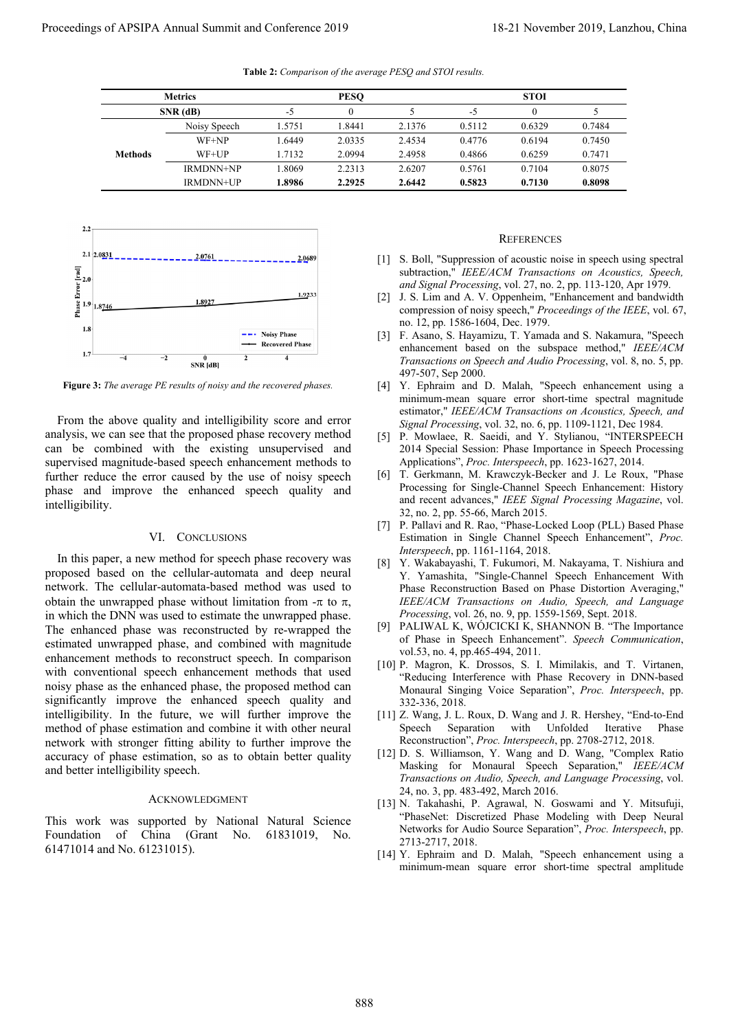| <b>Metrics</b> |                  | <b>PESO</b> |        |        | <b>STOI</b> |          |        |
|----------------|------------------|-------------|--------|--------|-------------|----------|--------|
|                | $SNR$ (dB)       | $-5$        |        |        | -5          | $\Omega$ |        |
|                | Noisy Speech     | 1.5751      | 1.8441 | 2.1376 | 0.5112      | 0.6329   | 0.7484 |
|                | WF+NP            | 1.6449      | 2.0335 | 2.4534 | 0.4776      | 0.6194   | 0.7450 |
| <b>Methods</b> | $WF+UP$          | 1.7132      | 2.0994 | 2.4958 | 0.4866      | 0.6259   | 0.7471 |
|                | <b>IRMDNN+NP</b> | 1.8069      | 2.2313 | 2.6207 | 0.5761      | 0.7104   | 0.8075 |
|                | <b>IRMDNN+UP</b> | 1.8986      | 2.2925 | 2.6442 | 0.5823      | 0.7130   | 0.8098 |

**Table 2:** *Comparison of the average PESQ and STOI results.* 



**Figure 3:** *The average PE results of noisy and the recovered phases.* 

From the above quality and intelligibility score and error analysis, we can see that the proposed phase recovery method can be combined with the existing unsupervised and supervised magnitude-based speech enhancement methods to further reduce the error caused by the use of noisy speech phase and improve the enhanced speech quality and intelligibility.

## VI. CONCLUSIONS

In this paper, a new method for speech phase recovery was proposed based on the cellular-automata and deep neural network. The cellular-automata-based method was used to obtain the unwrapped phase without limitation from  $-\pi$  to  $\pi$ , in which the DNN was used to estimate the unwrapped phase. The enhanced phase was reconstructed by re-wrapped the estimated unwrapped phase, and combined with magnitude enhancement methods to reconstruct speech. In comparison with conventional speech enhancement methods that used noisy phase as the enhanced phase, the proposed method can significantly improve the enhanced speech quality and intelligibility. In the future, we will further improve the method of phase estimation and combine it with other neural network with stronger fitting ability to further improve the accuracy of phase estimation, so as to obtain better quality and better intelligibility speech. Proceeding of APSIPA Annual Summit at  $\Gamma$  to  $\frac{160}{25}$ <br>  $\frac{1600}{25}$ <br>  $\frac{1600}{25}$ <br>  $\frac{1600}{25}$ <br>  $\frac{1600}{25}$ <br>  $\frac{1600}{25}$ <br>  $\frac{1600}{25}$ <br>  $\frac{1600}{25}$ <br>  $\frac{1600}{25}$ <br>  $\frac{1600}{25}$ <br>  $\frac{1600}{25}$ <br>  $\frac{1600}{25$ 

## ACKNOWLEDGMENT

This work was supported by National Natural Science Foundation of China (Grant No. 61831019, No. 61471014 and No. 61231015).

# **REFERENCES**

- [1] S. Boll, "Suppression of acoustic noise in speech using spectral subtraction," *IEEE/ACM Transactions on Acoustics, Speech, and Signal Processing*, vol. 27, no. 2, pp. 113-120, Apr 1979.
- [2] J. S. Lim and A. V. Oppenheim, "Enhancement and bandwidth compression of noisy speech," *Proceedings of the IEEE*, vol. 67, no. 12, pp. 1586-1604, Dec. 1979.
- [3] F. Asano, S. Hayamizu, T. Yamada and S. Nakamura, "Speech enhancement based on the subspace method," *IEEE/ACM Transactions on Speech and Audio Processing*, vol. 8, no. 5, pp. 497-507, Sep 2000.
- [4] Y. Ephraim and D. Malah, "Speech enhancement using a minimum-mean square error short-time spectral magnitude estimator," *IEEE/ACM Transactions on Acoustics, Speech, and Signal Processing*, vol. 32, no. 6, pp. 1109-1121, Dec 1984.
- [5] P. Mowlaee, R. Saeidi, and Y. Stylianou, "INTERSPEECH 2014 Special Session: Phase Importance in Speech Processing Applications", *Proc. Interspeech*, pp. 1623-1627, 2014.
- [6] T. Gerkmann, M. Krawczyk-Becker and J. Le Roux, "Phase Processing for Single-Channel Speech Enhancement: History and recent advances," *IEEE Signal Processing Magazine*, vol. 32, no. 2, pp. 55-66, March 2015.
- [7] P. Pallavi and R. Rao, "Phase-Locked Loop (PLL) Based Phase Estimation in Single Channel Speech Enhancement", *Proc. Interspeech*, pp. 1161-1164, 2018.
- [8] Y. Wakabayashi, T. Fukumori, M. Nakayama, T. Nishiura and Y. Yamashita, "Single-Channel Speech Enhancement With Phase Reconstruction Based on Phase Distortion Averaging," *IEEE/ACM Transactions on Audio, Speech, and Language Processing*, vol. 26, no. 9, pp. 1559-1569, Sept. 2018.
- [9] PALIWAL K, WÓJCICKI K, SHANNON B. "The Importance of Phase in Speech Enhancement". *Speech Communication*, vol.53, no. 4, pp.465-494, 2011.
- [10] P. Magron, K. Drossos, S. I. Mimilakis, and T. Virtanen, "Reducing Interference with Phase Recovery in DNN-based Monaural Singing Voice Separation", *Proc. Interspeech*, pp. 332-336, 2018.
- [11] Z. Wang, J. L. Roux, D. Wang and J. R. Hershey, "End-to-End Speech Separation with Unfolded Iterative Phase Reconstruction", *Proc. Interspeech*, pp. 2708-2712, 2018.
- [12] D. S. Williamson, Y. Wang and D. Wang, "Complex Ratio Masking for Monaural Speech Separation," *IEEE/ACM Transactions on Audio, Speech, and Language Processing*, vol. 24, no. 3, pp. 483-492, March 2016.
- [13] N. Takahashi, P. Agrawal, N. Goswami and Y. Mitsufuji, "PhaseNet: Discretized Phase Modeling with Deep Neural Networks for Audio Source Separation", *Proc. Interspeech*, pp. 2713-2717, 2018.
- [14] Y. Ephraim and D. Malah, "Speech enhancement using a minimum-mean square error short-time spectral amplitude